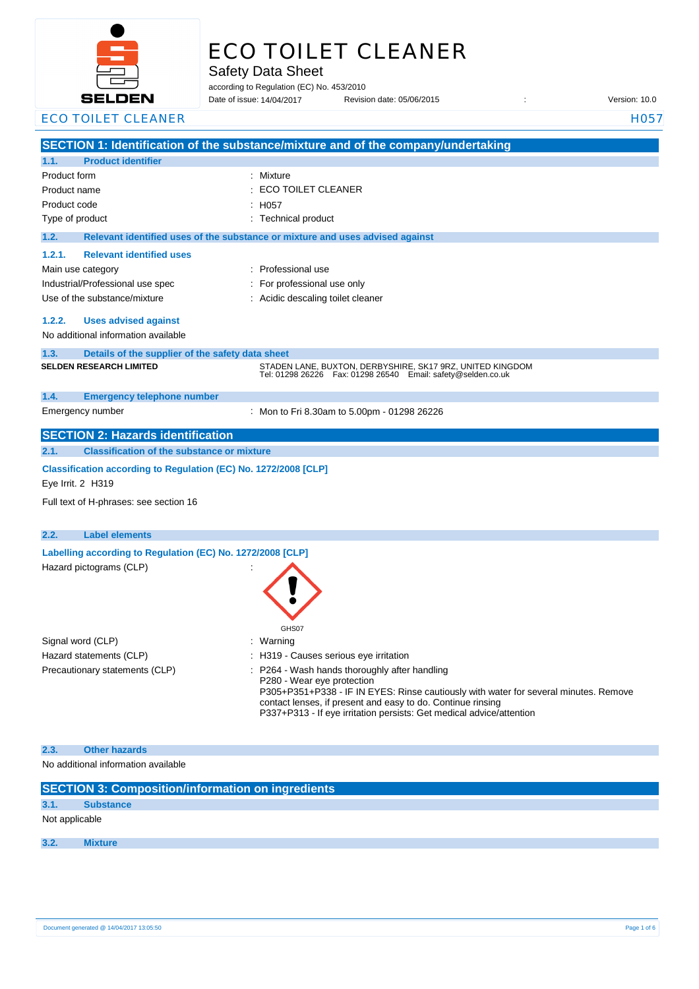

# ECO TOILET CLEANER

Safety Data Sheet

according to Regulation (EC) No. 453/2010

Date of issue: Revision date: 05/06/2015 : Version: 10.0 14/04/2017

ECO TOILET CLEANER HOST AND THE SERVICE OF THE SERVICE OF THE SERVICE OF THE SERVICE OF THE SERVICE OF THE SERVICE OF THE SERVICE OF THE SERVICE OF THE SERVICE OF THE SERVICE OF THE SERVICE OF THE SERVICE OF THE SERVICE OF

**SECTION 1: Identification of the substance/mixture and of the company/undertaking 1.1. Product identifier** Product form : Nixture : Mixture Product name : Product code : Type of product Type of product in the set of the set of the set of the set of the set of the set of the set of the set of the set of the set of the set of the set of the set of the set of the set of the set of the set of **1.2. Relevant identified uses of the substance or mixture and uses advised against 1.2.1. Relevant identified uses**  Main use category **intervalled** and the category of the category of the category of the category of the category Industrial/Professional use spec : For professional use only Use of the substance/mixture : Acidic descaling toilet cleaner **1.2.2. Uses advised against** No additional information available **1.3. Details of the supplier of the safety data sheet 1.4. Emergency telephone number** Emergency number : **SECTION 2: Hazards identification 2.1. Classification of the substance or mixture Classification according to Regulation (EC) No. 1272/2008 [CLP]** Eye Irrit. 2 H319 Full text of H-phrases: see section 16 **2.2. Label elements Labelling according to Regulation (EC) No. 1272/2008 [CLP]** Hazard pictograms (CLP) : GHS<sub>07</sub> Signal word (CLP)  $\qquad \qquad$ : Warning Hazard statements (CLP)  $\qquad \qquad$ : H319 - Causes serious eye irritation Precautionary statements (CLP) : P264 - Wash hands thoroughly after handling P280 - Wear eye protection P305+P351+P338 - IF IN EYES: Rinse cautiously with water for several minutes. Remove contact lenses, if present and easy to do. Continue rinsing P337+P313 - If eye irritation persists: Get medical advice/attention **2.3. Other hazards** No additional information available **SECTION 3: Composition/information on ingredients 3.1. Substance** ECO TOILET CLEANER : H057 **SELDEN RESEARCH LIMITED** STADEN LANE, BUXTON, DERBYSHIRE, SK17 9RZ, UNITED KINGDOM Tel: 01298 26226 Fax: 01298 26540 Email: safety@selden.co.uk Mon to Fri 8.30am to 5.00pm - 01298 26226

Not applicable

**3.2. Mixture**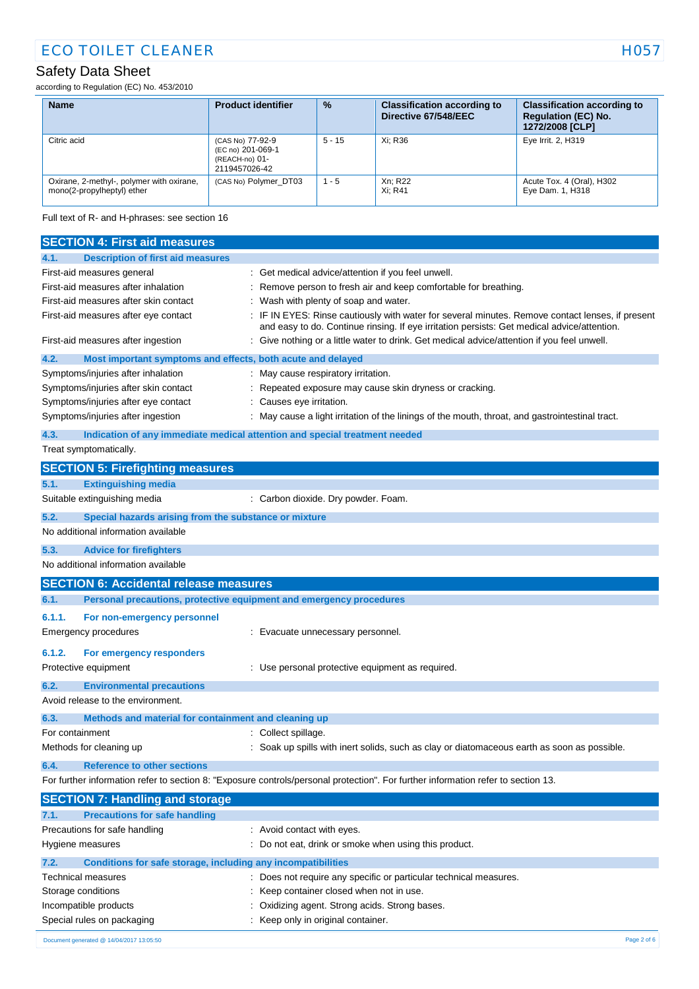## Safety Data Sheet

according to Regulation (EC) No. 453/2010

| <b>Name</b>                                                             | <b>Product identifier</b>                                                | $\frac{9}{6}$ | <b>Classification according to</b><br>Directive 67/548/EEC | <b>Classification according to</b><br><b>Regulation (EC) No.</b><br>1272/2008 [CLP] |
|-------------------------------------------------------------------------|--------------------------------------------------------------------------|---------------|------------------------------------------------------------|-------------------------------------------------------------------------------------|
| Citric acid                                                             | (CAS No) 77-92-9<br>(EC no) 201-069-1<br>(REACH-no) 01-<br>2119457026-42 | $5 - 15$      | Xi: R36                                                    | Eye Irrit. 2, H319                                                                  |
| Oxirane, 2-methyl-, polymer with oxirane,<br>mono(2-propylheptyl) ether | (CAS No) Polymer DT03                                                    | $1 - 5$       | Xn: R22<br>Xi: R41                                         | Acute Tox. 4 (Oral), H302<br>Eye Dam. 1, H318                                       |

Full text of R- and H-phrases: see section 16

| <b>SECTION 4: First aid measures</b>                                                   |                                                                                                                                                                                                 |
|----------------------------------------------------------------------------------------|-------------------------------------------------------------------------------------------------------------------------------------------------------------------------------------------------|
| <b>Description of first aid measures</b><br>4.1.                                       |                                                                                                                                                                                                 |
| First-aid measures general                                                             | : Get medical advice/attention if you feel unwell.                                                                                                                                              |
| First-aid measures after inhalation                                                    | Remove person to fresh air and keep comfortable for breathing.                                                                                                                                  |
| First-aid measures after skin contact                                                  | : Wash with plenty of soap and water.                                                                                                                                                           |
| First-aid measures after eye contact                                                   | : IF IN EYES: Rinse cautiously with water for several minutes. Remove contact lenses, if present<br>and easy to do. Continue rinsing. If eye irritation persists: Get medical advice/attention. |
| First-aid measures after ingestion                                                     | : Give nothing or a little water to drink. Get medical advice/attention if you feel unwell.                                                                                                     |
| Most important symptoms and effects, both acute and delayed<br>4.2.                    |                                                                                                                                                                                                 |
| Symptoms/injuries after inhalation                                                     | : May cause respiratory irritation.                                                                                                                                                             |
| Symptoms/injuries after skin contact                                                   | : Repeated exposure may cause skin dryness or cracking.                                                                                                                                         |
| Symptoms/injuries after eye contact                                                    | : Causes eye irritation.                                                                                                                                                                        |
| Symptoms/injuries after ingestion                                                      | : May cause a light irritation of the linings of the mouth, throat, and gastrointestinal tract.                                                                                                 |
| 4.3.                                                                                   | Indication of any immediate medical attention and special treatment needed                                                                                                                      |
| Treat symptomatically.                                                                 |                                                                                                                                                                                                 |
| <b>SECTION 5: Firefighting measures</b>                                                |                                                                                                                                                                                                 |
| 5.1.<br><b>Extinguishing media</b>                                                     |                                                                                                                                                                                                 |
| Suitable extinguishing media                                                           | : Carbon dioxide. Dry powder. Foam.                                                                                                                                                             |
| 5.2.<br>Special hazards arising from the substance or mixture                          |                                                                                                                                                                                                 |
| No additional information available                                                    |                                                                                                                                                                                                 |
| 5.3.<br><b>Advice for firefighters</b>                                                 |                                                                                                                                                                                                 |
| No additional information available                                                    |                                                                                                                                                                                                 |
| <b>SECTION 6: Accidental release measures</b>                                          |                                                                                                                                                                                                 |
|                                                                                        |                                                                                                                                                                                                 |
| 6.1.                                                                                   |                                                                                                                                                                                                 |
| Personal precautions, protective equipment and emergency procedures                    |                                                                                                                                                                                                 |
| 6.1.1.<br>For non-emergency personnel                                                  |                                                                                                                                                                                                 |
| Emergency procedures                                                                   | : Evacuate unnecessary personnel.                                                                                                                                                               |
| 6.1.2.<br>For emergency responders                                                     |                                                                                                                                                                                                 |
| Protective equipment                                                                   | : Use personal protective equipment as required.                                                                                                                                                |
| 6.2.<br><b>Environmental precautions</b>                                               |                                                                                                                                                                                                 |
| Avoid release to the environment.                                                      |                                                                                                                                                                                                 |
| 6.3.<br>Methods and material for containment and cleaning up                           |                                                                                                                                                                                                 |
| For containment                                                                        | : Collect spillage.                                                                                                                                                                             |
| Methods for cleaning up                                                                | : Soak up spills with inert solids, such as clay or diatomaceous earth as soon as possible.                                                                                                     |
| 6.4.<br><b>Reference to other sections</b>                                             |                                                                                                                                                                                                 |
|                                                                                        | For further information refer to section 8: "Exposure controls/personal protection". For further information refer to section 13.                                                               |
|                                                                                        |                                                                                                                                                                                                 |
| <b>SECTION 7: Handling and storage</b><br><b>Precautions for safe handling</b><br>7.1. |                                                                                                                                                                                                 |
| Precautions for safe handling                                                          | : Avoid contact with eyes.                                                                                                                                                                      |
| Hygiene measures                                                                       | : Do not eat, drink or smoke when using this product.                                                                                                                                           |
| 7.2.<br>Conditions for safe storage, including any incompatibilities                   |                                                                                                                                                                                                 |
| Technical measures                                                                     | : Does not require any specific or particular technical measures.                                                                                                                               |
| Storage conditions                                                                     | Keep container closed when not in use.                                                                                                                                                          |
| Incompatible products                                                                  | Oxidizing agent. Strong acids. Strong bases.                                                                                                                                                    |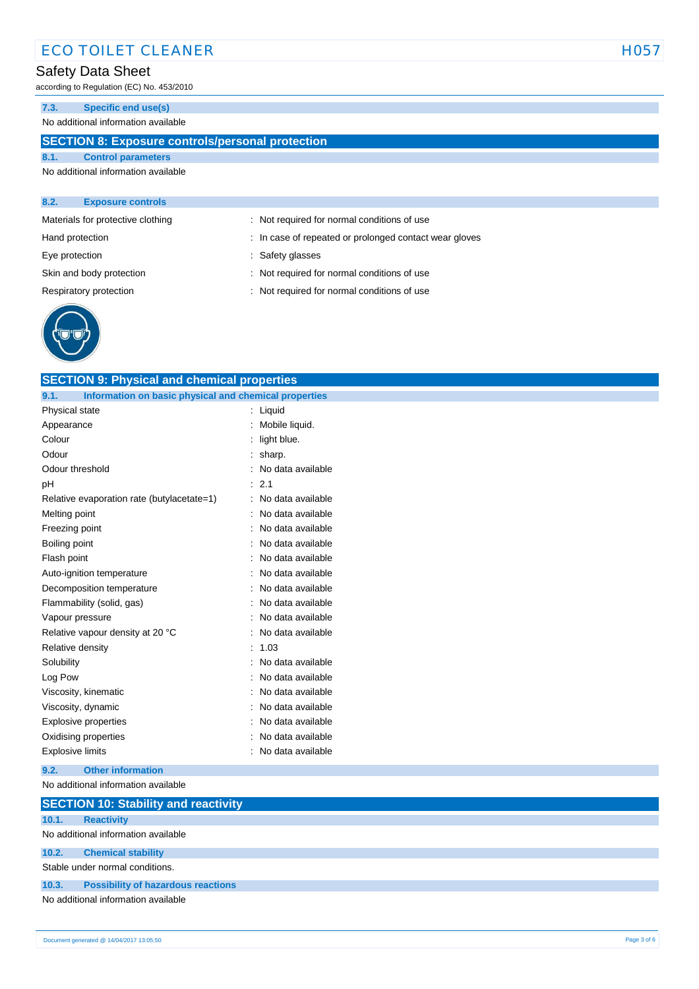# ECO TOILET CLEANER HOST

## Safety Data Sheet

according to Regulation (EC) No. 453/2010

#### **7.3. Specific end use(s)**

No additional information available

## **SECTION 8: Exposure controls/personal protection**

**SECTION 9: Physical and chemical properties**

#### **8.1. Control parameters** No additional information available

| 8.2.            | <b>Exposure controls</b>          |                                                        |
|-----------------|-----------------------------------|--------------------------------------------------------|
|                 | Materials for protective clothing | : Not required for normal conditions of use            |
| Hand protection |                                   | : In case of repeated or prolonged contact wear gloves |
| Eye protection  |                                   | : Safety glasses                                       |
|                 | Skin and body protection          | : Not required for normal conditions of use            |
|                 | Respiratory protection            | : Not required for normal conditions of use            |
|                 |                                   |                                                        |



| 9.1.          | Information on basic physical and chemical properties |   |                   |             |
|---------------|-------------------------------------------------------|---|-------------------|-------------|
|               | Physical state                                        |   | Liquid            |             |
| Appearance    |                                                       |   | Mobile liquid.    |             |
| Colour        |                                                       |   | light blue.       |             |
| Odour         |                                                       |   | sharp.            |             |
|               | Odour threshold                                       |   | No data available |             |
| рH            |                                                       | ÷ | 2.1               |             |
|               | Relative evaporation rate (butylacetate=1)            |   | No data available |             |
| Melting point |                                                       |   | No data available |             |
|               | Freezing point                                        |   | No data available |             |
| Boiling point |                                                       |   | No data available |             |
| Flash point   |                                                       |   | No data available |             |
|               | Auto-ignition temperature                             |   | No data available |             |
|               | Decomposition temperature                             |   | No data available |             |
|               | Flammability (solid, gas)                             |   | No data available |             |
|               | Vapour pressure                                       |   | No data available |             |
|               | Relative vapour density at 20 °C                      |   | No data available |             |
|               | Relative density                                      |   | 1.03              |             |
| Solubility    |                                                       |   | No data available |             |
| Log Pow       |                                                       |   | No data available |             |
|               | Viscosity, kinematic                                  |   | No data available |             |
|               | Viscosity, dynamic                                    |   | No data available |             |
|               | <b>Explosive properties</b>                           |   | No data available |             |
|               | Oxidising properties                                  |   | No data available |             |
|               | <b>Explosive limits</b>                               |   | No data available |             |
| 9.2.          | <b>Other information</b>                              |   |                   |             |
|               | No additional information available                   |   |                   |             |
|               | <b>SECTION 10: Stability and reactivity</b>           |   |                   |             |
| 10.1.         | <b>Reactivity</b>                                     |   |                   |             |
|               | No additional information available                   |   |                   |             |
| 10.2.         | <b>Chemical stability</b>                             |   |                   |             |
|               | Stable under normal conditions.                       |   |                   |             |
| 10.3.         | <b>Possibility of hazardous reactions</b>             |   |                   |             |
|               | No additional information available                   |   |                   |             |
|               |                                                       |   |                   |             |
|               | Document generated @ 14/04/2017 13:05:50              |   |                   | Page 3 of 6 |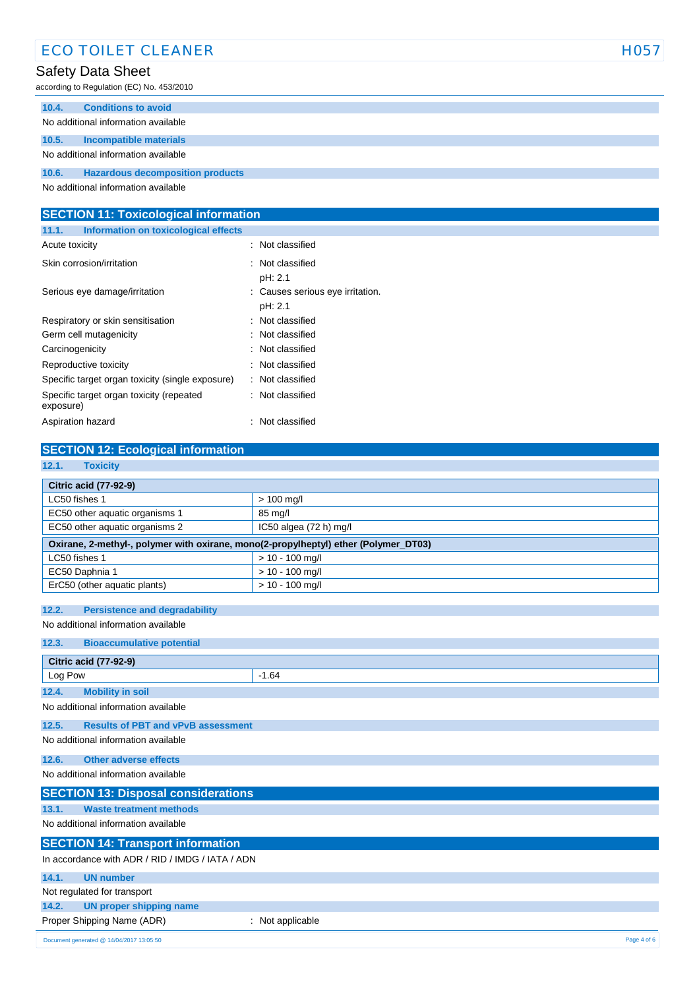## ECO TOILET CLEANER HOST

### Safety Data Sheet

according to Regulation (EC) No. 453/2010

| 10.4. | <b>Conditions to avoid</b>              |
|-------|-----------------------------------------|
|       | No additional information available     |
| 10.5. | Incompatible materials                  |
|       | No additional information available     |
| 10.6. | <b>Hazardous decomposition products</b> |
|       | No additional information available     |

**SECTION 11: Toxicological information 11.1. Information on toxicological effects** Acute toxicity **in the case of the case of the case of the case of the case of the case of the case of the case of the case of the case of the case of the case of the case of the case of the case of the case of the case of** Skin corrosion/irritation : Not classified pH: 2.1 Serious eye damage/irritation : Causes serious eye irritation. pH: 2.1 Respiratory or skin sensitisation : Not classified Germ cell mutagenicity **Second Contract Contract Contract Contract Contract Contract Contract Contract Contract Contract Contract Contract Contract Contract Contract Contract Contract Contract Contract Contract Contract Co** Carcinogenicity : Not classified Reproductive toxicity **in the contract of the CR** extends the Not classified Specific target organ toxicity (single exposure) : Not classified Specific target organ toxicity (repeated exposure) : Not classified Aspiration hazard : Not classified

#### **SECTION 12: Ecological information**

| <b>Toxicity</b><br>12.1.                                                            |                                     |  |  |
|-------------------------------------------------------------------------------------|-------------------------------------|--|--|
| <b>Citric acid (77-92-9)</b>                                                        |                                     |  |  |
| LC50 fishes 1                                                                       | $> 100$ mg/l                        |  |  |
| EC50 other aquatic organisms 1                                                      | 85 mg/l                             |  |  |
| EC50 other aquatic organisms 2                                                      | IC50 algea (72 h) mg/l              |  |  |
| Oxirane, 2-methyl-, polymer with oxirane, mono(2-propylheptyl) ether (Polymer_DT03) |                                     |  |  |
| LC50 fishes 1                                                                       | $> 10 - 100$ mg/l                   |  |  |
| EC50 Daphnia 1                                                                      | $> 10 - 100$ mg/l                   |  |  |
| ErC50 (other aquatic plants)                                                        | $> 10 - 100$ mg/l                   |  |  |
| 12.2.<br><b>Persistence and degradability</b>                                       |                                     |  |  |
| No additional information available                                                 |                                     |  |  |
| 12.3.<br><b>Bioaccumulative potential</b>                                           |                                     |  |  |
|                                                                                     |                                     |  |  |
| <b>Citric acid (77-92-9)</b>                                                        |                                     |  |  |
| Log Pow                                                                             | $-1.64$                             |  |  |
| 12.4.<br><b>Mobility in soil</b>                                                    |                                     |  |  |
|                                                                                     | No additional information available |  |  |
| 12.5.<br><b>Results of PBT and vPvB assessment</b>                                  |                                     |  |  |
| No additional information available                                                 |                                     |  |  |
| Other adverse effects<br>12.6.                                                      |                                     |  |  |
| No additional information available                                                 |                                     |  |  |
| <b>SECTION 13: Disposal considerations</b>                                          |                                     |  |  |
| <b>Waste treatment methods</b><br>13.1.                                             |                                     |  |  |
| No additional information available                                                 |                                     |  |  |
| <b>SECTION 14: Transport information</b>                                            |                                     |  |  |
| In accordance with ADR / RID / IMDG / IATA / ADN                                    |                                     |  |  |
| 14.1.<br><b>UN number</b>                                                           |                                     |  |  |
| Not regulated for transport                                                         |                                     |  |  |
| <b>UN proper shipping name</b><br>14.2.                                             |                                     |  |  |
| Proper Shipping Name (ADR)                                                          | : Not applicable                    |  |  |
| Document generated @ 14/04/2017 13:05:50                                            | Page 4 of 6                         |  |  |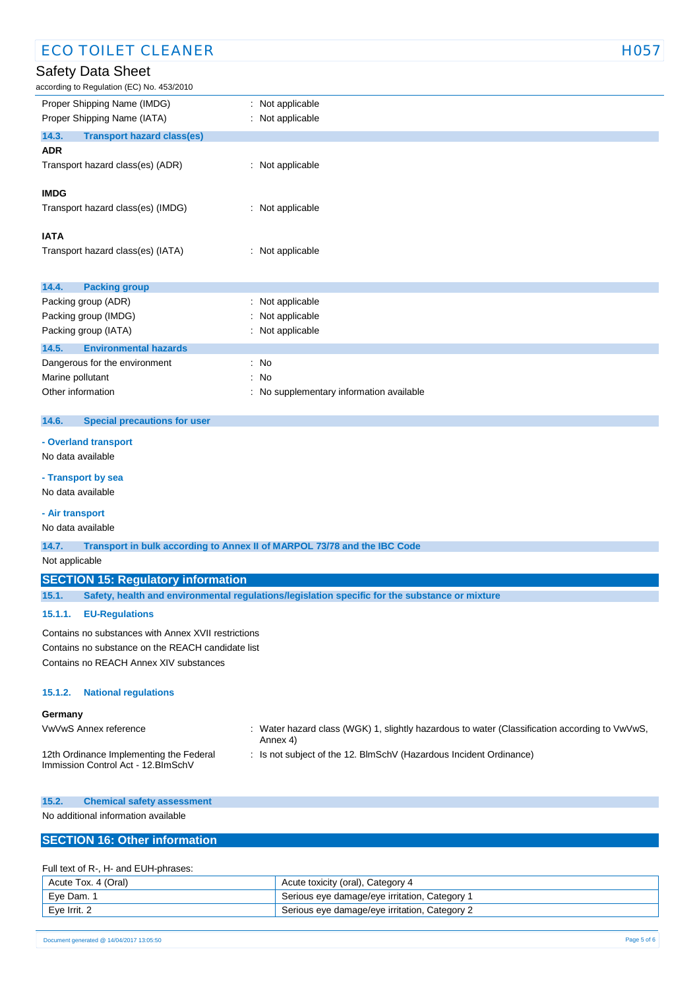| <b>ECO TOILET CLEANER</b>                                                                                | H057                                                                                           |
|----------------------------------------------------------------------------------------------------------|------------------------------------------------------------------------------------------------|
| Safety Data Sheet                                                                                        |                                                                                                |
| according to Regulation (EC) No. 453/2010                                                                |                                                                                                |
| Proper Shipping Name (IMDG)                                                                              | : Not applicable                                                                               |
| Proper Shipping Name (IATA)                                                                              | Not applicable                                                                                 |
| 14.3.<br><b>Transport hazard class(es)</b>                                                               |                                                                                                |
| <b>ADR</b>                                                                                               |                                                                                                |
| Transport hazard class(es) (ADR)                                                                         | : Not applicable                                                                               |
| <b>IMDG</b>                                                                                              |                                                                                                |
| Transport hazard class(es) (IMDG)                                                                        | Not applicable<br>÷.                                                                           |
|                                                                                                          |                                                                                                |
| <b>IATA</b>                                                                                              |                                                                                                |
| Transport hazard class(es) (IATA)                                                                        | : Not applicable                                                                               |
|                                                                                                          |                                                                                                |
| 14.4.<br><b>Packing group</b>                                                                            |                                                                                                |
| Packing group (ADR)                                                                                      | : Not applicable                                                                               |
| Packing group (IMDG)                                                                                     | Not applicable                                                                                 |
| Packing group (IATA)                                                                                     | Not applicable                                                                                 |
| 14.5.<br><b>Environmental hazards</b>                                                                    |                                                                                                |
| Dangerous for the environment<br>Marine pollutant                                                        | No<br>No                                                                                       |
| Other information                                                                                        | No supplementary information available                                                         |
|                                                                                                          |                                                                                                |
| 14.6.<br><b>Special precautions for user</b>                                                             |                                                                                                |
| - Overland transport                                                                                     |                                                                                                |
| No data available                                                                                        |                                                                                                |
| - Transport by sea                                                                                       |                                                                                                |
| No data available                                                                                        |                                                                                                |
| - Air transport                                                                                          |                                                                                                |
| No data available                                                                                        |                                                                                                |
| 14.7.                                                                                                    | Transport in bulk according to Annex II of MARPOL 73/78 and the IBC Code                       |
| Not applicable                                                                                           |                                                                                                |
| <b>SECTION 15: Regulatory information</b>                                                                |                                                                                                |
| 15.1.                                                                                                    | Safety, health and environmental regulations/legislation specific for the substance or mixture |
| <b>EU-Regulations</b><br>15.1.1.                                                                         |                                                                                                |
|                                                                                                          |                                                                                                |
| Contains no substances with Annex XVII restrictions<br>Contains no substance on the REACH candidate list |                                                                                                |
| Contains no REACH Annex XIV substances                                                                   |                                                                                                |
|                                                                                                          |                                                                                                |
| 15.1.2.<br><b>National regulations</b>                                                                   |                                                                                                |
| Germany                                                                                                  |                                                                                                |
| VwVwS Annex reference                                                                                    | : Water hazard class (WGK) 1, slightly hazardous to water (Classification according to VwVwS,  |
|                                                                                                          | Annex 4)                                                                                       |
| 12th Ordinance Implementing the Federal<br>Immission Control Act - 12. BlmSchV                           | : Is not subject of the 12. BImSchV (Hazardous Incident Ordinance)                             |
|                                                                                                          |                                                                                                |
| 15.2.                                                                                                    |                                                                                                |
| <b>Chemical safety assessment</b><br>No additional information available                                 |                                                                                                |
|                                                                                                          |                                                                                                |
| <b>SECTION 16: Other information</b>                                                                     |                                                                                                |
|                                                                                                          |                                                                                                |
| Full text of R-, H- and EUH-phrases:                                                                     |                                                                                                |

| Acute Tox. 4 (Oral) | Acute toxicity (oral), Category 4             |
|---------------------|-----------------------------------------------|
| Eve Dam. 1          | Serious eye damage/eye irritation, Category   |
| Eye Irrit. 2        | Serious eye damage/eye irritation, Category 2 |